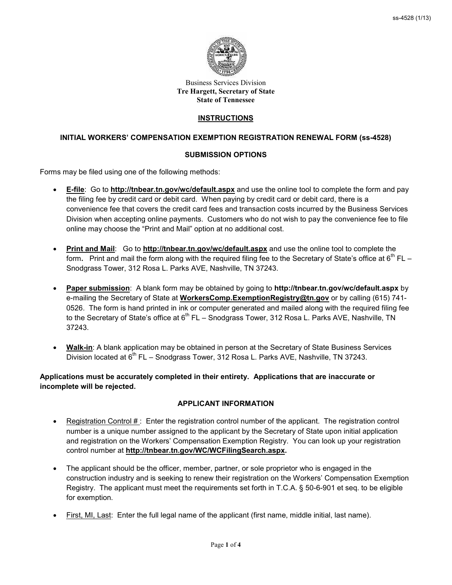

#### Business Services Division **Tre Hargett, Secretary of State State of Tennessee**

## **INSTRUCTIONS**

# **INITIAL WORKERS' COMPENSATION EXEMPTION REGISTRATION RENEWAL FORM (ss-4528)**

## **SUBMISSION OPTIONS**

Forms may be filed using one of the following methods:

- **E-file**: Go to **<http://tnbear.tn.gov/wc/default.aspx>** and use the online tool to complete the form and pay the filing fee by credit card or debit card. When paying by credit card or debit card, there is a convenience fee that covers the credit card fees and transaction costs incurred by the Business Services Division when accepting online payments. Customers who do not wish to pay the convenience fee to file online may choose the "Print and Mail" option at no additional cost.
- **Print and Mail**:Go to **<http://tnbear.tn.gov/wc/default.aspx>** and use the online tool to complete the form. Print and mail the form along with the required filing fee to the Secretary of State's office at  $6<sup>th</sup> FL -$ Snodgrass Tower, 312 Rosa L. Parks AVE, Nashville, TN 37243.
- **Paper submission**: A blank form may be obtained by going to **<http://tnbear.tn.gov/wc/default.aspx>** by e-mailing the Secretary of State at **[WorkersComp.ExemptionRegistry@tn.gov](mailto:WorkersComp.ExemptionRegistry@tn.gov)** or by calling (615) 741- 0526. The form is hand printed in ink or computer generated and mailed along with the required filing fee to the Secretary of State's office at 6<sup>th</sup> FL – Snodgrass Tower, 312 Rosa L. Parks AVE, Nashville, TN 37243.
- **Walk-in**: A blank application may be obtained in person at the Secretary of State Business Services Division located at  $6<sup>th</sup> FL - Snodgrass Tower, 312 Rosa L. Parks AVE, Nashville, TN 37243.$

# **Applications must be accurately completed in their entirety. Applications that are inaccurate or incomplete will be rejected.**

# **APPLICANT INFORMATION**

- Registration Control  $#$ : Enter the registration control number of the applicant. The registration control number is a unique number assigned to the applicant by the Secretary of State upon initial application and registration on the Workers' Compensation Exemption Registry. You can look up your registration control number at **[http://tnbear.tn.gov/WC/WCFilingSearch.aspx.](http://tnbear.tn.gov/WC/WCFilingSearch.aspx)**
- The applicant should be the officer, member, partner, or sole proprietor who is engaged in the construction industry and is seeking to renew their registration on the Workers' Compensation Exemption Registry. The applicant must meet the requirements set forth in T.C.A. § 50-6-901 et seq. to be eligible for exemption.
- First, MI, Last: Enter the full legal name of the applicant (first name, middle initial, last name).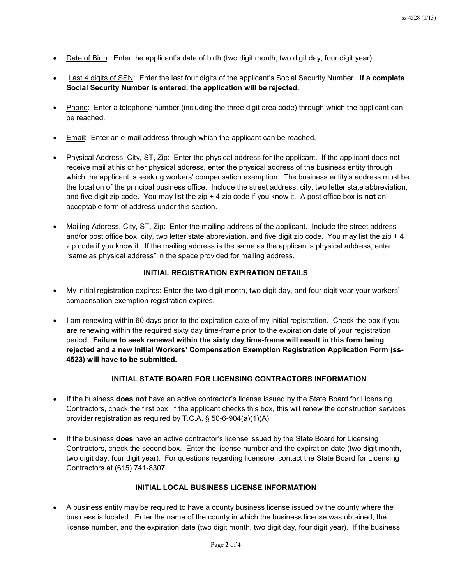- Date of Birth: Enter the applicant's date of birth (two digit month, two digit day, four digit year).
- Last 4 digits of SSN: Enter the last four digits of the applicant's Social Security Number. **If a complete Social Security Number is entered, the application will be rejected.**
- Phone: Enter a telephone number (including the three digit area code) through which the applicant can be reached.
- Email: Enter an e-mail address through which the applicant can be reached.
- Physical Address, City, ST, Zip: Enter the physical address for the applicant. If the applicant does not receive mail at his or her physical address, enter the physical address of the business entity through which the applicant is seeking workers' compensation exemption. The business entity's address must be the location of the principal business office. Include the street address, city, two letter state abbreviation, and five digit zip code. You may list the zip + 4 zip code if you know it. A post office box is **not** an acceptable form of address under this section.
- Mailing Address, City, ST, Zip: Enter the mailing address of the applicant. Include the street address and/or post office box, city, two letter state abbreviation, and five digit zip code. You may list the zip  $+4$ zip code if you know it. If the mailing address is the same as the applicant's physical address, enter "same as physical address" in the space provided for mailing address.

## **INITIAL REGISTRATION EXPIRATION DETAILS**

- My initial registration expires: Enter the two digit month, two digit day, and four digit year your workers' compensation exemption registration expires.
- I am renewing within 60 days prior to the expiration date of my initial registration. Check the box if you **are** renewing within the required sixty day time-frame prior to the expiration date of your registration period. **Failure to seek renewal within the sixty day time-frame will result in this form being rejected and a new Initial Workers' Compensation Exemption Registration Application Form (ss-4523) will have to be submitted.**

## **INITIAL STATE BOARD FOR LICENSING CONTRACTORS INFORMATION**

- If the business **does not** have an active contractor's license issued by the State Board for Licensing Contractors, check the first box. If the applicant checks this box, this will renew the construction services provider registration as required by T.C.A. § 50-6-904(a)(1)(A).
- If the business **does** have an active contractor's license issued by the State Board for Licensing Contractors, check the second box. Enter the license number and the expiration date (two digit month, two digit day, four digit year). For questions regarding licensure, contact the State Board for Licensing Contractors at (615) 741-8307.

# **INITIAL LOCAL BUSINESS LICENSE INFORMATION**

• A business entity may be required to have a county business license issued by the county where the business is located. Enter the name of the county in which the business license was obtained, the license number, and the expiration date (two digit month, two digit day, four digit year). If the business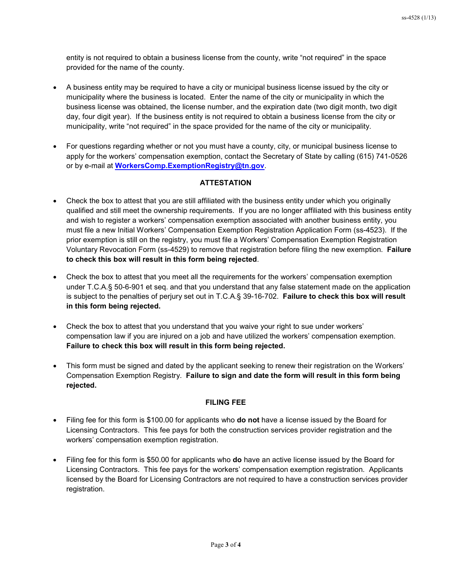entity is not required to obtain a business license from the county, write "not required" in the space provided for the name of the county.

- A business entity may be required to have a city or municipal business license issued by the city or municipality where the business is located. Enter the name of the city or municipality in which the business license was obtained, the license number, and the expiration date (two digit month, two digit day, four digit year). If the business entity is not required to obtain a business license from the city or municipality, write "not required" in the space provided for the name of the city or municipality.
- For questions regarding whether or not you must have a county, city, or municipal business license to apply for the workers' compensation exemption, contact the Secretary of State by calling (615) 741-0526 or by e-mail at **[WorkersComp.ExemptionRegistry@tn.gov](mailto:WorkersComp.ExemptionRegistry@tn.gov)**.

## **ATTESTATION**

- Check the box to attest that you are still affiliated with the business entity under which you originally qualified and still meet the ownership requirements. If you are no longer affiliated with this business entity and wish to register a workers' compensation exemption associated with another business entity, you must file a new Initial Workers' Compensation Exemption Registration Application Form (ss-4523). If the prior exemption is still on the registry, you must file a Workers' Compensation Exemption Registration Voluntary Revocation Form (ss-4529) to remove that registration before filing the new exemption. **Failure to check this box will result in this form being rejected**.
- Check the box to attest that you meet all the requirements for the workers' compensation exemption under T.C.A.§ 50-6-901 et seq. and that you understand that any false statement made on the application is subject to the penalties of perjury set out in T.C.A.§ 39-16-702. **Failure to check this box will result in this form being rejected.**
- Check the box to attest that you understand that you waive your right to sue under workers' compensation law if you are injured on a job and have utilized the workers' compensation exemption. **Failure to check this box will result in this form being rejected.**
- This form must be signed and dated by the applicant seeking to renew their registration on the Workers' Compensation Exemption Registry. **Failure to sign and date the form will result in this form being rejected.**

#### **FILING FEE**

- Filing fee for this form is \$100.00 for applicants who **do not** have a license issued by the Board for Licensing Contractors. This fee pays for both the construction services provider registration and the workers' compensation exemption registration.
- Filing fee for this form is \$50.00 for applicants who **do** have an active license issued by the Board for Licensing Contractors. This fee pays for the workers' compensation exemption registration. Applicants licensed by the Board for Licensing Contractors are not required to have a construction services provider registration.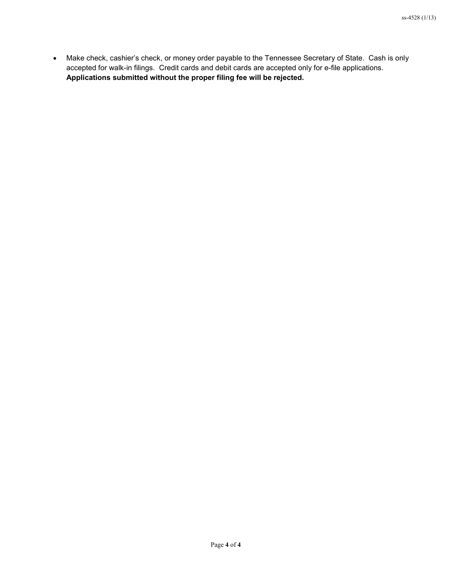• Make check, cashier's check, or money order payable to the Tennessee Secretary of State. Cash is only accepted for walk-in filings. Credit cards and debit cards are accepted only for e-file applications. **Applications submitted without the proper filing fee will be rejected.**